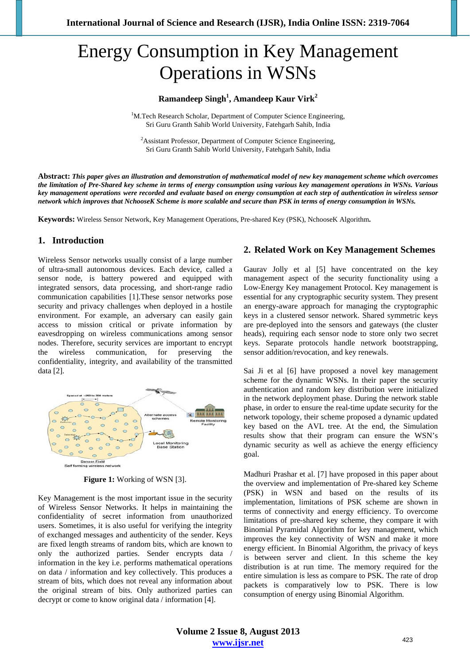# Energy Consumption in Key Management Operations in WSNs

# **Ramandeep Singh<sup>1</sup> , Amandeep Kaur Virk2**

<sup>1</sup>M.Tech Research Scholar, Department of Computer Science Engineering, Sri Guru Granth Sahib World University, Fatehgarh Sahib, India

<sup>2</sup> Assistant Professor, Department of Computer Science Engineering, Sri Guru Granth Sahib World University, Fatehgarh Sahib, India

**Abstract:** *This paper gives an illustration and demonstration of mathematical model of new key management scheme which overcomes the limitation of Pre-Shared key scheme in terms of energy consumption using various key management operations in WSNs. Various key management operations were recorded and evaluate based on energy consumption at each step of authentication in wireless sensor network which improves that NchooseK Scheme is more scalable and secure than PSK in terms of energy consumption in WSNs.* 

**Keywords:** Wireless Sensor Network, Key Management Operations, Pre-shared Key (PSK), NchooseK Algorithm**.** 

## **1. Introduction**

Wireless Sensor networks usually consist of a large number of ultra-small autonomous devices. Each device, called a sensor node, is battery powered and equipped with integrated sensors, data processing, and short-range radio communication capabilities [1].These sensor networks pose security and privacy challenges when deployed in a hostile environment. For example, an adversary can easily gain access to mission critical or private information by eavesdropping on wireless communications among sensor nodes. Therefore, security services are important to encrypt wireless communication, for preserving the confidentiality, integrity, and availability of the transmitted data [2].



**Figure 1:** Working of WSN [3].

Key Management is the most important issue in the security of Wireless Sensor Networks. It helps in maintaining the confidentiality of secret information from unauthorized users. Sometimes, it is also useful for verifying the integrity of exchanged messages and authenticity of the sender. Keys are fixed length streams of random bits, which are known to only the authorized parties. Sender encrypts data / information in the key i.e. performs mathematical operations on data / information and key collectively. This produces a stream of bits, which does not reveal any information about the original stream of bits. Only authorized parties can decrypt or come to know original data / information [4].

## **2. Related Work on Key Management Schemes**

Gaurav Jolly et al [5] have concentrated on the key management aspect of the security functionality using a Low-Energy Key management Protocol. Key management is essential for any cryptographic security system. They present an energy-aware approach for managing the cryptographic keys in a clustered sensor network. Shared symmetric keys are pre-deployed into the sensors and gateways (the cluster heads), requiring each sensor node to store only two secret keys. Separate protocols handle network bootstrapping, sensor addition/revocation, and key renewals.

Sai Ji et al [6] have proposed a novel key management scheme for the dynamic WSNs. In their paper the security authentication and random key distribution were initialized in the network deployment phase. During the network stable phase, in order to ensure the real-time update security for the network topology, their scheme proposed a dynamic updated key based on the AVL tree. At the end, the Simulation results show that their program can ensure the WSN's dynamic security as well as achieve the energy efficiency goal.

Madhuri Prashar et al. [7] have proposed in this paper about the overview and implementation of Pre-shared key Scheme (PSK) in WSN and based on the results of its implementation, limitations of PSK scheme are shown in terms of connectivity and energy efficiency. To overcome limitations of pre-shared key scheme, they compare it with Binomial Pyramidal Algorithm for key management, which improves the key connectivity of WSN and make it more energy efficient. In Binomial Algorithm, the privacy of keys is between server and client. In this scheme the key distribution is at run time. The memory required for the entire simulation is less as compare to PSK. The rate of drop packets is comparatively low to PSK. There is low consumption of energy using Binomial Algorithm.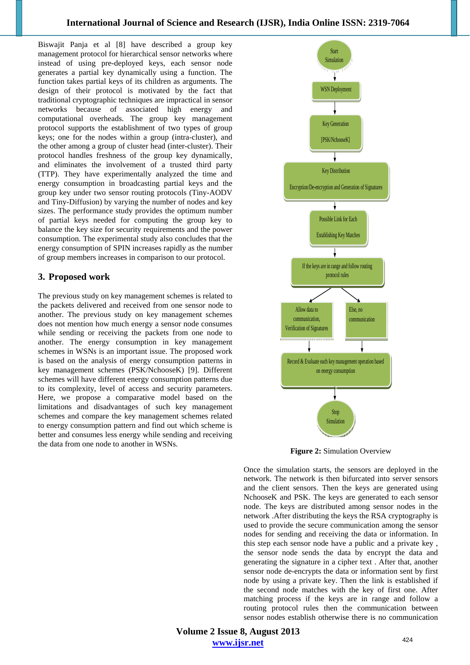Biswajit Panja et al [8] have described a group key management protocol for hierarchical sensor networks where instead of using pre-deployed keys, each sensor node generates a partial key dynamically using a function. The function takes partial keys of its children as arguments. The design of their protocol is motivated by the fact that traditional cryptographic techniques are impractical in sensor networks because of associated high energy and computational overheads. The group key management protocol supports the establishment of two types of group keys; one for the nodes within a group (intra-cluster), and the other among a group of cluster head (inter-cluster). Their protocol handles freshness of the group key dynamically, and eliminates the involvement of a trusted third party (TTP). They have experimentally analyzed the time and energy consumption in broadcasting partial keys and the group key under two sensor routing protocols (Tiny-AODV and Tiny-Diffusion) by varying the number of nodes and key sizes. The performance study provides the optimum number of partial keys needed for computing the group key to balance the key size for security requirements and the power consumption. The experimental study also concludes that the energy consumption of SPIN increases rapidly as the number of group members increases in comparison to our protocol.

## **3. Proposed work**

The previous study on key management schemes is related to the packets delivered and received from one sensor node to another. The previous study on key management schemes does not mention how much energy a sensor node consumes while sending or receiving the packets from one node to another. The energy consumption in key management schemes in WSNs is an important issue. The proposed work is based on the analysis of energy consumption patterns in key management schemes (PSK/NchooseK) [9]. Different schemes will have different energy consumption patterns due to its complexity, level of access and security parameters. Here, we propose a comparative model based on the limitations and disadvantages of such key management schemes and compare the key management schemes related to energy consumption pattern and find out which scheme is better and consumes less energy while sending and receiving the data from one node to another in WSNs.



**Figure 2:** Simulation Overview

Once the simulation starts, the sensors are deployed in the network. The network is then bifurcated into server sensors and the client sensors. Then the keys are generated using NchooseK and PSK. The keys are generated to each sensor node. The keys are distributed among sensor nodes in the network .After distributing the keys the RSA cryptography is used to provide the secure communication among the sensor nodes for sending and receiving the data or information. In this step each sensor node have a public and a private key , the sensor node sends the data by encrypt the data and generating the signature in a cipher text . After that, another sensor node de-encrypts the data or information sent by first node by using a private key. Then the link is established if the second node matches with the key of first one. After matching process if the keys are in range and follow a routing protocol rules then the communication between sensor nodes establish otherwise there is no communication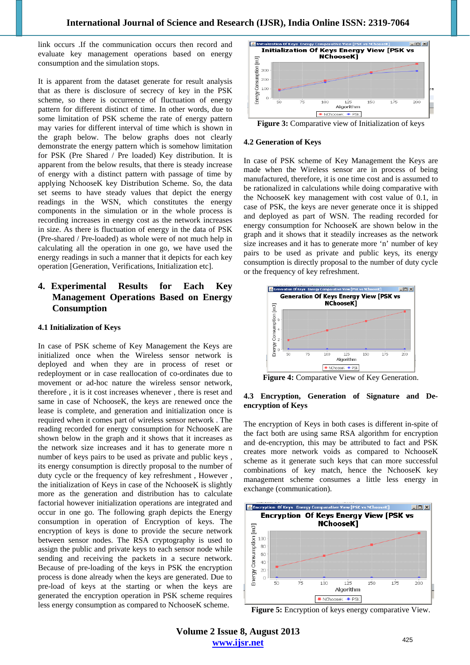link occurs .If the communication occurs then record and evaluate key management operations based on energy consumption and the simulation stops.

It is apparent from the dataset generate for result analysis that as there is disclosure of secrecy of key in the PSK scheme, so there is occurrence of fluctuation of energy pattern for different distinct of time. In other words, due to some limitation of PSK scheme the rate of energy pattern may varies for different interval of time which is shown in the graph below. The below graphs does not clearly demonstrate the energy pattern which is somehow limitation for PSK (Pre Shared / Pre loaded) Key distribution. It is apparent from the below results, that there is steady increase of energy with a distinct pattern with passage of time by applying NchooseK key Distribution Scheme. So, the data set seems to have steady values that depict the energy readings in the WSN, which constitutes the energy components in the simulation or in the whole process is recording increases in energy cost as the network increases in size. As there is fluctuation of energy in the data of PSK (Pre-shared / Pre-loaded) as whole were of not much help in calculating all the operation in one go, we have used the energy readings in such a manner that it depicts for each key operation [Generation, Verifications, Initialization etc].

# **4. Experimental Results for Each Key Management Operations Based on Energy Consumption**

#### **4.1 Initialization of Keys**

In case of PSK scheme of Key Management the Keys are initialized once when the Wireless sensor network is deployed and when they are in process of reset or redeployment or in case reallocation of co-ordinates due to movement or ad-hoc nature the wireless sensor network, therefore , it is it cost increases whenever , there is reset and same in case of NchooseK, the keys are renewed once the lease is complete, and generation and initialization once is required when it comes part of wireless sensor network . The reading recorded for energy consumption for NchooseK are shown below in the graph and it shows that it increases as the network size increases and it has to generate more n number of keys pairs to be used as private and public keys , its energy consumption is directly proposal to the number of duty cycle or the frequency of key refreshment , However , the initialization of Keys in case of the NchooseK is slightly more as the generation and distribution has to calculate factorial however initialization operations are integrated and occur in one go. The following graph depicts the Energy consumption in operation of Encryption of keys. The encryption of keys is done to provide the secure network between sensor nodes. The RSA cryptography is used to assign the public and private keys to each sensor node while sending and receiving the packets in a secure network. Because of pre-loading of the keys in PSK the encryption process is done already when the keys are generated. Due to pre-load of keys at the starting or when the keys are generated the encryption operation in PSK scheme requires less energy consumption as compared to NchooseK scheme.





#### **4.2 Generation of Keys**

In case of PSK scheme of Key Management the Keys are made when the Wireless sensor are in process of being manufactured, therefore, it is one time cost and is assumed to be rationalized in calculations while doing comparative with the NchooseK key management with cost value of 0.1, in case of PSK, the keys are never generate once it is shipped and deployed as part of WSN. The reading recorded for energy consumption for NchooseK are shown below in the graph and it shows that it steadily increases as the network size increases and it has to generate more 'n' number of key pairs to be used as private and public keys, its energy consumption is directly proposal to the number of duty cycle or the frequency of key refreshment.



**Figure 4:** Comparative View of Key Generation.

#### **4.3 Encryption, Generation of Signature and Deencryption of Keys**

The encryption of Keys in both cases is different in-spite of the fact both are using same RSA algorithm for encryption and de-encryption, this may be attributed to fact and PSK creates more network voids as compared to NchooseK scheme as it generate such keys that can more successful combinations of key match, hence the NchooseK key management scheme consumes a little less energy in exchange (communication).



**Figure 5:** Encryption of keys energy comparative View.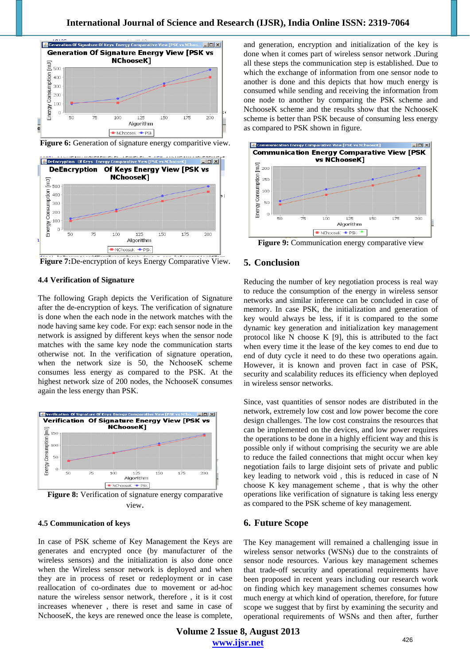

Figure 6: Generation of signature energy comparitive view.



**Figure 7:**De-encryption of keys Energy Comparative View.

#### **4.4 Verification of Signature**

The following Graph depicts the Verification of Signature after the de-encryption of keys. The verification of signature is done when the each node in the network matches with the node having same key code. For exp: each sensor node in the network is assigned by different keys when the sensor node matches with the same key node the communication starts otherwise not. In the verification of signature operation, when the network size is 50, the NchooseK scheme consumes less energy as compared to the PSK. At the highest network size of 200 nodes, the NchooseK consumes again the less energy than PSK.



**Figure 8:** Verification of signature energy comparative view.

#### **4.5 Communication of keys**

In case of PSK scheme of Key Management the Keys are generates and encrypted once (by manufacturer of the wireless sensors) and the initialization is also done once when the Wireless sensor network is deployed and when they are in process of reset or redeployment or in case reallocation of co-ordinates due to movement or ad-hoc nature the wireless sensor network, therefore , it is it cost increases whenever , there is reset and same in case of NchooseK, the keys are renewed once the lease is complete,

and generation, encryption and initialization of the key is done when it comes part of wireless sensor network .During all these steps the communication step is established. Due to which the exchange of information from one sensor node to another is done and this depicts that how much energy is consumed while sending and receiving the information from one node to another by comparing the PSK scheme and NchooseK scheme and the results show that the NchooseK scheme is better than PSK because of consuming less energy as compared to PSK shown in figure.



**Figure 9:** Communication energy comparative view

## **5. Conclusion**

Reducing the number of key negotiation process is real way to reduce the consumption of the energy in wireless sensor networks and similar inference can be concluded in case of memory. In case PSK, the initialization and generation of key would always be less, if it is compared to the some dynamic key generation and initialization key management protocol like N choose K [9], this is attributed to the fact when every time it the lease of the key comes to end due to end of duty cycle it need to do these two operations again. However, it is known and proven fact in case of PSK, security and scalability reduces its efficiency when deployed in wireless sensor networks.

Since, vast quantities of sensor nodes are distributed in the network, extremely low cost and low power become the core design challenges. The low cost constrains the resources that can be implemented on the devices, and low power requires the operations to be done in a highly efficient way and this is possible only if without comprising the security we are able to reduce the failed connections that might occur when key negotiation fails to large disjoint sets of private and public key leading to network void , this is reduced in case of N choose K key management scheme , that is why the other operations like verification of signature is taking less energy as compared to the PSK scheme of key management.

# **6. Future Scope**

The Key management will remained a challenging issue in wireless sensor networks (WSNs) due to the constraints of sensor node resources. Various key management schemes that trade-off security and operational requirements have been proposed in recent years including our research work on finding which key management schemes consumes how much energy at which kind of operation, therefore, for future scope we suggest that by first by examining the security and operational requirements of WSNs and then after, further